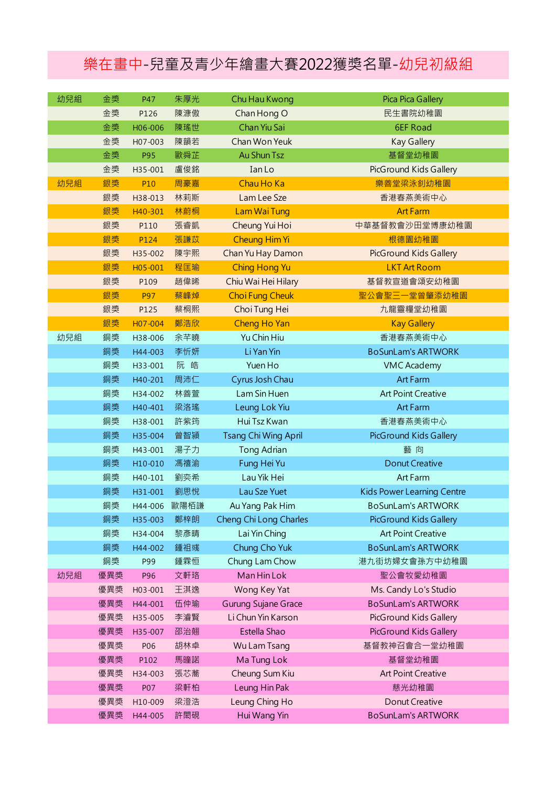## 樂在畫中-兒童及青少年繪畫大賽2022獲獎名單-幼兒初級組

| 幼兒組 | 金獎  | P47     | 朱厚光  | Chu Hau Kwong               | Pica Pica Gallery             |
|-----|-----|---------|------|-----------------------------|-------------------------------|
|     | 金獎  | P126    | 陳漮傲  | Chan Hong O                 | 民生書院幼稚園                       |
|     | 金獎  | H06-006 | 陳瑤世  | Chan Yiu Sai                | <b>6EF Road</b>               |
|     | 金獎  | H07-003 | 陳韻若  | Chan Won Yeuk               | <b>Kay Gallery</b>            |
|     | 金獎  | P95     | 歐舜芷  | Au Shun Tsz                 | 基督堂幼稚園                        |
|     | 金獎  | H35-001 | 盧俊銘  | Ian Lo                      | PicGround Kids Gallery        |
| 幼兒組 | 銀獎  | P10     | 周豪嘉  | Chau Ho Ka                  | 樂善堂梁泳釗幼稚園                     |
|     | 銀獎  | H38-013 | 林莉斯  | Lam Lee Sze                 | 香港春燕美術中心                      |
|     | 銀獎  | H40-301 | 林蔚桐  | Lam Wai Tung                | <b>Art Farm</b>               |
|     | 銀獎  | P110    | 張睿凱  | Cheung Yui Hoi              | 中華基督教會沙田堂博康幼稚園                |
|     | 銀獎  | P124    | 張謙苡  | <b>Cheung Him Yi</b>        | 根德園幼稚園                        |
|     | 銀獎  | H35-002 | 陳宇熙  | Chan Yu Hay Damon           | <b>PicGround Kids Gallery</b> |
|     | 銀獎  | H05-001 | 程匡瑜  | <b>Ching Hong Yu</b>        | <b>LKT Art Room</b>           |
|     | 銀獎  | P109    | 趙偉晞  | Chiu Wai Hei Hilary         | 基督教宣道會頌安幼稚園                   |
|     | 銀獎  | P97     | 蔡峰焯  | <b>Choi Fung Cheuk</b>      | 聖公會聖三一堂曾肇添幼稚園                 |
|     | 銀獎  | P125    | 蔡桐熙  | Choi Tung Hei               | 九龍靈糧堂幼稚園                      |
|     | 銀獎  | H07-004 | 鄭浩欣  | Cheng Ho Yan                | <b>Kay Gallery</b>            |
| 幼兒組 | 銅獎  | H38-006 | 余芊曉  | Yu Chin Hiu                 | 香港春燕美術中心                      |
|     | 銅獎  | H44-003 | 李忻妍  | Li Yan Yin                  | <b>BoSunLam's ARTWORK</b>     |
|     | 銅獎  | H33-001 | 阮皓   | Yuen Ho                     | <b>VMC Academy</b>            |
|     | 銅獎  | H40-201 | 周沛仁  | Cyrus Josh Chau             | <b>Art Farm</b>               |
|     | 銅獎  | H34-002 | 林善萱  | Lam Sin Huen                | <b>Art Point Creative</b>     |
|     | 銅獎  | H40-401 | 梁洛瑤  | Leung Lok Yiu               | Art Farm                      |
|     | 銅獎  | H38-001 | 許紫筠  | Hui Tsz Kwan                | 香港春燕美術中心                      |
|     | 銅獎  | H35-004 | 曾智潁  | <b>Tsang Chi Wing April</b> | PicGround Kids Gallery        |
|     | 銅獎  | H43-001 | 湯子力  | Tong Adrian                 | 藝向                            |
|     | 銅獎  | H10-010 | 馮禧渝  | Fung Hei Yu                 | <b>Donut Creative</b>         |
|     | 銅獎  | H40-101 | 劉奕希  | Lau Yik Hei                 | Art Farm                      |
|     | 銅獎  | H31-001 | 劉思悅  | Lau Sze Yuet                | Kids Power Learning Centre    |
|     | 銅獎  | H44-006 | 歐陽栢謙 | Au Yang Pak Him             | <b>BoSunLam's ARTWORK</b>     |
|     | 銅獎  | H35-003 | 鄭梓朗  | Cheng Chi Long Charles      | PicGround Kids Gallery        |
|     | 銅獎  | H34-004 | 黎彥晴  | Lai Yin Ching               | <b>Art Point Creative</b>     |
|     | 銅獎  | H44-002 | 鍾祖彧  | Chung Cho Yuk               | <b>BoSunLam's ARTWORK</b>     |
|     | 銅獎  | P99     | 鍾霖恒  | Chung Lam Chow              | 港九街坊婦女會孫方中幼稚園                 |
| 幼兒組 | 優異獎 | P96     | 文軒珞  | Man Hin Lok                 | 聖公會牧愛幼稚園                      |
|     | 優異獎 | H03-001 | 王淇逸  | Wong Key Yat                | Ms. Candy Lo's Studio         |
|     | 優異獎 | H44-001 | 伍仲瑜  | Gurung Sujane Grace         | <b>BoSunLam's ARTWORK</b>     |
|     | 優異獎 | H35-005 | 李濬賢  | Li Chun Yin Karson          | PicGround Kids Gallery        |
|     | 優異獎 | H35-007 | 邵治翹  | Estella Shao                | PicGround Kids Gallery        |
|     | 優異獎 | P06     | 胡林卓  | Wu Lam Tsang                | 基督教神召會合一堂幼稚園                  |
|     | 優異獎 | P102    | 馬瞳諾  | Ma Tung Lok                 | 基督堂幼稚園                        |
|     | 優異獎 | H34-003 | 張芯蕎  | Cheung Sum Kiu              | <b>Art Point Creative</b>     |
|     | 優異獎 | P07     | 梁軒柏  | Leung Hin Pak               | 慈光幼稚園                         |
|     | 優異獎 | H10-009 | 梁澄浩  | Leung Ching Ho              | Donut Creative                |
|     | 優異獎 | H44-005 | 許閎硯  | Hui Wang Yin                | <b>BoSunLam's ARTWORK</b>     |